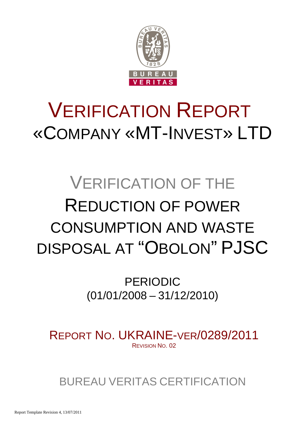

# VERIFICATION REPORT «COMPANY «MT-INVEST» LTD

# VERIFICATION OF THE REDUCTION OF POWER CONSUMPTION AND WASTE DISPOSAL AT "OBOLON" PJSC

PERIODIC (01/01/2008 – 31/12/2010)

REPORT NO. UKRAINE-VER/0289/2011 REVISION NO. 02

BUREAU VERITAS CERTIFICATION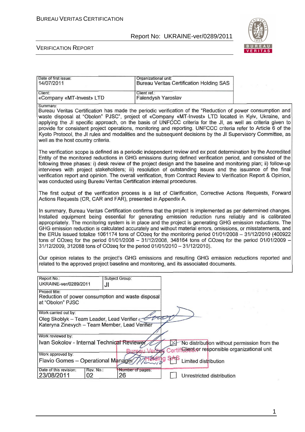

#### VERIFICATION REPORT

| Date of first issue:<br>14/07/2011                                                                                  |                                                                                                                                                                                                                                                                                                                                                                                                                                                                                                                                                                                                                                                                                                                                                          | Organizational unit:<br><b>Bureau Veritas Certification Holding SAS</b>                                                                                                                                                                                                                                                                                                                                                                                                                                                                                                              |  |  |  |
|---------------------------------------------------------------------------------------------------------------------|----------------------------------------------------------------------------------------------------------------------------------------------------------------------------------------------------------------------------------------------------------------------------------------------------------------------------------------------------------------------------------------------------------------------------------------------------------------------------------------------------------------------------------------------------------------------------------------------------------------------------------------------------------------------------------------------------------------------------------------------------------|--------------------------------------------------------------------------------------------------------------------------------------------------------------------------------------------------------------------------------------------------------------------------------------------------------------------------------------------------------------------------------------------------------------------------------------------------------------------------------------------------------------------------------------------------------------------------------------|--|--|--|
| Client:<br>«Company «MT-Invest» LTD                                                                                 | Client ref.:                                                                                                                                                                                                                                                                                                                                                                                                                                                                                                                                                                                                                                                                                                                                             | Falendysh Yaroslav                                                                                                                                                                                                                                                                                                                                                                                                                                                                                                                                                                   |  |  |  |
| Summary:<br>well as the host country criteria.                                                                      |                                                                                                                                                                                                                                                                                                                                                                                                                                                                                                                                                                                                                                                                                                                                                          | Bureau Veritas Certification has made the periodic verification of the "Reduction of power consumption and<br>waste disposal at "Obolon" PJSC", project of «Company «MT-Invest» LTD located in Kyiv, Ukraine, and<br>applying the JI specific approach, on the basis of UNFCCC criteria for the JI, as well as criteria given to<br>provide for consistent project operations, monitoring and reporting. UNFCCC criteria refer to Article 6 of the<br>Kyoto Protocol, the JI rules and modalities and the subsequent decisions by the JI Supervisory Committee, as                   |  |  |  |
| was conducted using Bureau Veritas Certification internal procedures.                                               |                                                                                                                                                                                                                                                                                                                                                                                                                                                                                                                                                                                                                                                                                                                                                          | The verification scope is defined as a periodic independent review and ex post determination by the Accredited<br>Entity of the monitored reductions in GHG emissions during defined verification period, and consisted of the<br>following three phases: i) desk review of the project design and the baseline and monitoring plan; ii) follow-up<br>interviews with project stakeholders; iii) resolution of outstanding issues and the issuance of the final<br>verification report and opinion. The overall verification, from Contract Review to Verification Report & Opinion, |  |  |  |
| Actions Requests (CR, CAR and FAR), presented in Appendix A.                                                        |                                                                                                                                                                                                                                                                                                                                                                                                                                                                                                                                                                                                                                                                                                                                                          | The first output of the verification process is a list of Clarification, Corrective Actions Requests, Forward                                                                                                                                                                                                                                                                                                                                                                                                                                                                        |  |  |  |
|                                                                                                                     | In summary, Bureau Veritas Certification confirms that the project is implemented as per determined changes.<br>Installed equipment being essential for generating emission reduction runs reliably and is calibrated<br>appropriately. The monitoring system is in place and the project is generating GHG emission reductions. The<br>GHG emission reduction is calculated accurately and without material errors, omissions, or misstatements, and<br>the ERUs issued totalize 1061174 tons of CO2eq for the monitoring period 01/01/2008 - 31/12/2010 (400922<br>tons of CO2eq for the period 01/01/2008 - 31/12/2008, 348164 tons of CO2eq for the period 01/01/2009 -<br>31/12/2009, 312088 tons of CO2eq for the period 01/01/2010 - 31/12/2010). |                                                                                                                                                                                                                                                                                                                                                                                                                                                                                                                                                                                      |  |  |  |
|                                                                                                                     |                                                                                                                                                                                                                                                                                                                                                                                                                                                                                                                                                                                                                                                                                                                                                          | Our opinion relates to the project's GHG emissions and resulting GHG emission reductions reported and<br>related to the approved project baseline and monitoring, and its associated documents.                                                                                                                                                                                                                                                                                                                                                                                      |  |  |  |
| Report No.:<br>UKRAINE-ver/0289/2011<br>JI                                                                          | Subject Group:                                                                                                                                                                                                                                                                                                                                                                                                                                                                                                                                                                                                                                                                                                                                           |                                                                                                                                                                                                                                                                                                                                                                                                                                                                                                                                                                                      |  |  |  |
| Project title:<br>Reduction of power consumption and waste disposal<br>at "Obolon" PJSC                             |                                                                                                                                                                                                                                                                                                                                                                                                                                                                                                                                                                                                                                                                                                                                                          |                                                                                                                                                                                                                                                                                                                                                                                                                                                                                                                                                                                      |  |  |  |
| Work carried out by:<br>Oleg Skoblyk - Team Leader, Lead Verifier<br>Kateryna Zinevych - Team Member, Lead Verifier |                                                                                                                                                                                                                                                                                                                                                                                                                                                                                                                                                                                                                                                                                                                                                          | two                                                                                                                                                                                                                                                                                                                                                                                                                                                                                                                                                                                  |  |  |  |
| Work reviewed by:<br>Ivan Sokolov - Internal Technical Reviewer                                                     |                                                                                                                                                                                                                                                                                                                                                                                                                                                                                                                                                                                                                                                                                                                                                          | No distribution without permission from the<br>Certificuent or responsible organizational unit                                                                                                                                                                                                                                                                                                                                                                                                                                                                                       |  |  |  |
| Work approved by:<br>Flavio Gomes - Operational Manager                                                             |                                                                                                                                                                                                                                                                                                                                                                                                                                                                                                                                                                                                                                                                                                                                                          | Limited distribution                                                                                                                                                                                                                                                                                                                                                                                                                                                                                                                                                                 |  |  |  |
| Date of this revision:<br>Rev. No.:<br>23/08/2011<br>02                                                             | Number of pages:<br>26                                                                                                                                                                                                                                                                                                                                                                                                                                                                                                                                                                                                                                                                                                                                   | Unrestricted distribution                                                                                                                                                                                                                                                                                                                                                                                                                                                                                                                                                            |  |  |  |

1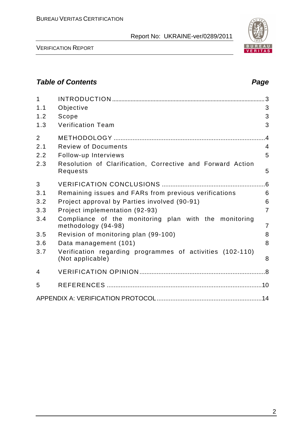

### **Table of Contents Page 2018**

| $\mathbf{1}$<br>1.1<br>1.2<br>1.3                  | Objective<br>Scope<br><b>Verification Team</b>                                                                                                                                                                                                                                           | 3<br>3<br>3                                                 |
|----------------------------------------------------|------------------------------------------------------------------------------------------------------------------------------------------------------------------------------------------------------------------------------------------------------------------------------------------|-------------------------------------------------------------|
| $\overline{2}$<br>2.1<br>2.2<br>2.3                | <b>Review of Documents</b><br>Follow-up Interviews<br>Resolution of Clarification, Corrective and Forward Action<br>Requests                                                                                                                                                             | .4<br>4<br>5<br>5                                           |
| 3<br>3.1<br>3.2<br>3.3<br>3.4<br>3.5<br>3.6<br>3.7 | Remaining issues and FARs from previous verifications<br>Project approval by Parties involved (90-91)<br>Project implementation (92-93)<br>Compliance of the monitoring plan with the monitoring<br>methodology (94-98)<br>Revision of monitoring plan (99-100)<br>Data management (101) | 6.6<br>6<br>6<br>$\overline{7}$<br>$\overline{7}$<br>8<br>8 |
|                                                    | Verification regarding programmes of activities (102-110)<br>(Not applicable)                                                                                                                                                                                                            | 8                                                           |
| 4<br>5                                             |                                                                                                                                                                                                                                                                                          |                                                             |
|                                                    |                                                                                                                                                                                                                                                                                          |                                                             |

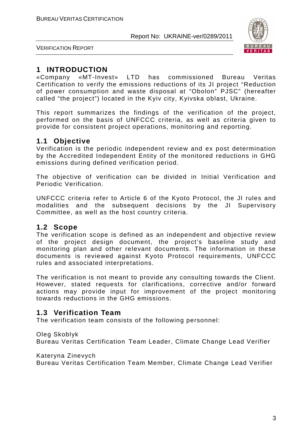

VERIFICATION REPORT

# **1 INTRODUCTION**

«Company «MT-Invest» LTD has commissioned Bureau Veritas Certification to verify the emissions reductions of its JI project "Reduction of power consumption and waste disposal at "Obolon" PJSC" (hereafter called "the project") located in the Kyiv city, Kyivska oblast, Ukraine.

This report summarizes the findings of the verification of the project, performed on the basis of UNFCCC criteria, as well as criteria given to provide for consistent project operations, monitoring and reporting.

# **1.1 Objective**

Verification is the periodic independent review and ex post determination by the Accredited Independent Entity of the monitored reductions in GHG emissions during defined verification period.

The objective of verification can be divided in Initial Verification and Periodic Verification.

UNFCCC criteria refer to Article 6 of the Kyoto Protocol, the JI rules and modalities and the subsequent decisions by the JI Supervisory Committee, as well as the host country criteria.

#### **1.2 Scope**

The verification scope is defined as an independent and objective review of the project design document, the project's baseline study and monitoring plan and other relevant documents. The information in these documents is reviewed against Kyoto Protocol requirements, UNFCCC rules and associated interpretations.

The verification is not meant to provide any consulting towards the Client. However, stated requests for clarifications, corrective and/or forward actions may provide input for improvement of the project monitoring towards reductions in the GHG emissions.

#### **1.3 Verification Team**

The verification team consists of the following personnel:

#### Oleg Skoblyk

Bureau Veritas Certification Team Leader, Climate Change Lead Verifier

Kateryna Zinevych

Bureau Veritas Certification Team Member, Climate Change Lead Verifier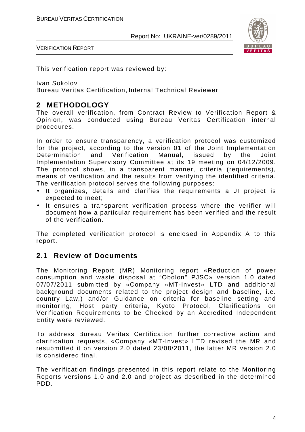

VERIFICATION REPORT

This verification report was reviewed by:

Ivan Sokolov

Bureau Veritas Certification, Internal Technical Reviewer

# **2 METHODOLOGY**

The overall verification, from Contract Review to Verification Report & Opinion, was conducted using Bureau Veritas Certification internal procedures.

In order to ensure transparency, a verification protocol was customized for the project, according to the version 01 of the Joint Implementation Determination and Verification Manual, issued by the Joint Implementation Supervisory Committee at its 19 meeting on 04/12/2009. The protocol shows, in a transparent manner, criteria (requirements), means of verification and the results from verifying the identified criteria. The verification protocol serves the following purposes:

- It organizes, details and clarifies the requirements a JI project is expected to meet;
- It ensures a transparent verification process where the verifier will document how a particular requirement has been verified and the result of the verification.

The completed verification protocol is enclosed in Appendix A to this report.

#### **2.1 Review of Documents**

The Monitoring Report (MR) Monitoring report «Reduction of power consumption and waste disposal at "Obolon" PJSC» version 1.0 dated 07/07/2011 submitted by «Company «MT-Invest» LTD and additional background documents related to the project design and baseline, i.e. country Law,) and/or Guidance on criteria for baseline setting and monitoring, Host party criteria, Kyoto Protocol, Clarifications on Verification Requirements to be Checked by an Accredited Independent Entity were reviewed.

To address Bureau Veritas Certification further corrective action and clarification requests, «Company «MT-Invest» LTD revised the MR and resubmitted it on version 2.0 dated 23/08/2011, the latter MR version 2.0 is considered final.

The verification findings presented in this report relate to the Monitoring Reports versions 1.0 and 2.0 and project as described in the determined PDD.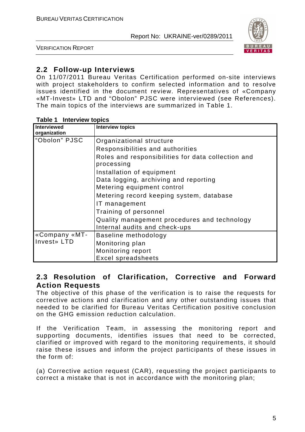

VERIFICATION REPORT

### **2.2 Follow-up Interviews**

On 11/07/2011 Bureau Veritas Certification performed on-site interviews with project stakeholders to confirm selected information and to resolve issues identified in the document review. Representatives of «Company «MT-Invest» LTD and "Obolon" PJSC were interviewed (see References). The main topics of the interviews are summarized in Table 1.

| $14000 + 11001100$<br><b>Interviewed</b> | <b>Interview topics</b>                                          |
|------------------------------------------|------------------------------------------------------------------|
| organization                             |                                                                  |
|                                          |                                                                  |
| "Obolon" PJSC                            | Organizational structure                                         |
|                                          | Responsibilities and authorities                                 |
|                                          | Roles and responsibilities for data collection and<br>processing |
|                                          | Installation of equipment                                        |
|                                          | Data logging, archiving and reporting                            |
|                                          | Metering equipment control                                       |
|                                          | Metering record keeping system, database                         |
|                                          | IT management                                                    |
|                                          | Training of personnel                                            |
|                                          | Quality management procedures and technology                     |
|                                          | Internal audits and check-ups                                    |
| «Company «MT-                            | Baseline methodology                                             |
| Invest» LTD                              | Monitoring plan                                                  |
|                                          | Monitoring report                                                |
|                                          | <b>Excel spreadsheets</b>                                        |

#### **Table 1 Interview topics**

#### **2.3 Resolution of Clarification, Corrective and Forward Action Requests**

The objective of this phase of the verification is to raise the requests for corrective actions and clarification and any other outstanding issues that needed to be clarified for Bureau Veritas Certification positive conclusion on the GHG emission reduction calculation.

If the Verification Team, in assessing the monitoring report and supporting documents, identifies issues that need to be corrected, clarified or improved with regard to the monitoring requirements, it should raise these issues and inform the project participants of these issues in the form of:

(a) Corrective action request (CAR), requesting the project participants to correct a mistake that is not in accordance with the monitoring plan;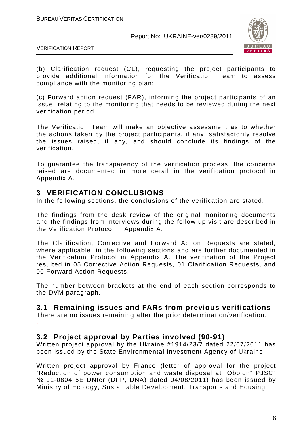

VERIFICATION REPORT

(b) Clarification request (CL), requesting the project participants to provide additional information for the Verification Team to assess compliance with the monitoring plan;

(c) Forward action request (FAR), informing the project participants of an issue, relating to the monitoring that needs to be reviewed during the next verification period.

The Verification Team will make an objective assessment as to whether the actions taken by the project participants, if any, satisfactorily resolve the issues raised, if any, and should conclude its findings of the verification.

To guarantee the transparency of the verification process, the concerns raised are documented in more detail in the verification protocol in Appendix A.

#### **3 VERIFICATION CONCLUSIONS**

In the following sections, the conclusions of the verification are stated.

The findings from the desk review of the original monitoring documents and the findings from interviews during the follow up visit are described in the Verification Protocol in Appendix A.

The Clarification, Corrective and Forward Action Requests are stated, where applicable, in the following sections and are further documented in the Verification Protocol in Appendix A. The verification of the Project resulted in 05 Corrective Action Requests, 01 Clarification Requests, and 00 Forward Action Requests.

The number between brackets at the end of each section corresponds to the DVM paragraph.

#### **3.1 Remaining issues and FARs from previous verifications**

There are no issues remaining after the prior determination/verification. .

**3.2 Project approval by Parties involved (90-91)** 

Written project approval by the Ukraine #1914/23/7 dated 22/07/2011 has been issued by the State Environmental Investment Agency of Ukraine.

Written project approval by France (letter of approval for the project "Reduction of power consumption and waste disposal at "Obolon" PJSC" № 11-0804 5E DNter (DFP, DNA) dated 04/08/2011) has been issued by Ministry of Ecology, Sustainable Development, Transports and Housing.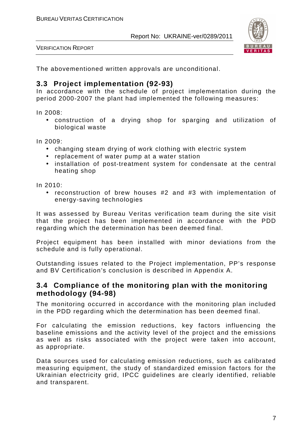



The abovementioned written approvals are unconditional.

#### **3.3 Project implementation (92-93)**

In accordance with the schedule of project implementation during the period 2000-2007 the plant had implemented the following measures:

In 2008:

• construction of a drying shop for sparging and utilization of biological waste

In 2009:

- changing steam drying of work clothing with electric system
- replacement of water pump at a water station
- installation of post-treatment system for condensate at the central heating shop

In 2010:

• reconstruction of brew houses #2 and #3 with implementation of energy-saving technologies

It was assessed by Bureau Veritas verification team during the site visit that the project has been implemented in accordance with the PDD regarding which the determination has been deemed final.

Project equipment has been installed with minor deviations from the schedule and is fully operational.

Outstanding issues related to the Project implementation, PP's response and BV Certification's conclusion is described in Appendix A.

#### **3.4 Compliance of the monitoring plan with the monitoring methodology (94-98)**

The monitoring occurred in accordance with the monitoring plan included in the PDD regarding which the determination has been deemed final.

For calculating the emission reductions, key factors influencing the baseline emissions and the activity level of the project and the emissions as well as risks associated with the project were taken into account, as appropriate.

Data sources used for calculating emission reductions, such as calibrated measuring equipment, the study of standardized emission factors for the Ukrainian electricity grid, IPCC guidelines are clearly identified, reliable and transparent.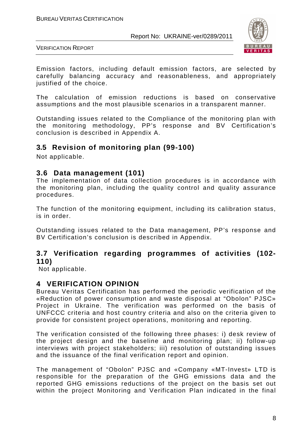

VERIFICATION REPORT

Emission factors, including default emission factors, are selected by carefully balancing accuracy and reasonableness, and appropriately justified of the choice.

The calculation of emission reductions is based on conservative assumptions and the most plausible scenarios in a transparent manner.

Outstanding issues related to the Compliance of the monitoring plan with the monitoring methodology, PP's response and BV Certification's conclusion is described in Appendix A.

# **3.5 Revision of monitoring plan (99-100)**

Not applicable.

#### **3.6 Data management (101)**

The implementation of data collection procedures is in accordance with the monitoring plan, including the quality control and quality assurance procedures.

The function of the monitoring equipment, including its calibration status, is in order.

Outstanding issues related to the Data management, PP's response and BV Certification's conclusion is described in Appendix.

#### **3.7 Verification regarding programmes of activities (102- 110)**

Not applicable.

#### **4 VERIFICATION OPINION**

Bureau Veritas Certification has performed the periodic verification of the «Reduction of power consumption and waste disposal at "Obolon" PJSC» Project in Ukraine. The verification was performed on the basis of UNFCCC criteria and host country criteria and also on the criteria given to provide for consistent project operations, monitoring and reporting.

The verification consisted of the following three phases: i) desk review of the project design and the baseline and monitoring plan; ii) follow-up interviews with project stakeholders; iii) resolution of outstanding issues and the issuance of the final verification report and opinion.

The management of "Obolon" PJSC and «Company «MT-Invest» LTD is responsible for the preparation of the GHG emissions data and the reported GHG emissions reductions of the project on the basis set out within the project Monitoring and Verification Plan indicated in the final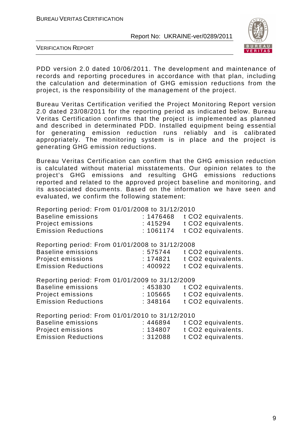

VERIFICATION REPORT

PDD version 2.0 dated 10/06/2011. The development and maintenance of records and reporting procedures in accordance with that plan, including the calculation and determination of GHG emission reductions from the project, is the responsibility of the management of the project.

Bureau Veritas Certification verified the Project Monitoring Report version 2.0 dated 23/08/2011 for the reporting period as indicated below. Bureau Veritas Certification confirms that the project is implemented as planned and described in determinated PDD. Installed equipment being essential for generating emission reduction runs reliably and is calibrated appropriately. The monitoring system is in place and the project is generating GHG emission reductions.

Bureau Veritas Certification can confirm that the GHG emission reduction is calculated without material misstatements. Our opinion relates to the project's GHG emissions and resulting GHG emissions reductions reported and related to the approved project baseline and monitoring, and its associated documents. Based on the information we have seen and evaluated, we confirm the following statement:

Reporting period: From 01/01/2008 to 31/12/2010

| Baseline emissions         |         | $: 1476468$ t CO2 equivalents. |
|----------------------------|---------|--------------------------------|
| Project emissions          | :415294 | t CO2 equivalents.             |
| <b>Emission Reductions</b> |         | $: 1061174$ t CO2 equivalents. |

Reporting period: From 01/01/2008 to 31/12/2008

| Baseline emissions         | :575744 | t CO2 equivalents. |
|----------------------------|---------|--------------------|
| Project emissions          | :174821 | t CO2 equivalents. |
| <b>Emission Reductions</b> | :400922 | t CO2 equivalents. |
|                            |         |                    |

Reporting period: From 01/01/2009 to 31/12/2009

| :453830 | t CO <sub>2</sub> equivalents. |
|---------|--------------------------------|
| :105665 | t CO <sub>2</sub> equivalents. |
| :348164 | t CO2 equivalents.             |
|         |                                |

Reporting period: From 01/01/2010 to 31/12/2010

| <b>Baseline emissions</b>  | :446894 | t CO <sub>2</sub> equivalents. |
|----------------------------|---------|--------------------------------|
| Project emissions          | :134807 | t CO <sub>2</sub> equivalents. |
| <b>Emission Reductions</b> | :312088 | t CO2 equivalents.             |
|                            |         |                                |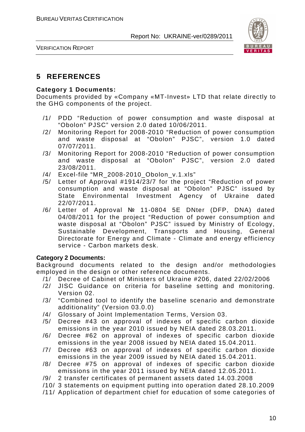

VERIFICATION REPORT

# **5 REFERENCES**

#### **Category 1 Documents:**

Documents provided by «Company «MT-Invest» LTD that relate directly to the GHG components of the project.

- /1/ PDD "Reduction of power consumption and waste disposal at "Obolon" PJSC" version 2.0 dated 10/06/2011.
- /2/ Monitoring Report for 2008-2010 "Reduction of power consumption and waste disposal at "Obolon" PJSC", version 1.0 dated 07/07/2011.
- /3/ Monitoring Report for 2008-2010 "Reduction of power consumption and waste disposal at "Obolon" PJSC", version 2.0 dated 23/08/2011.
- /4/ Excel-file "MR\_2008-2010\_Obolon\_v.1.xls"
- /5/ Letter of Approval #1914/23/7 for the project "Reduction of power consumption and waste disposal at "Obolon" PJSC" issued by State Environmental Investment Agency of Ukraine dated 22/07/2011.
- /6/ Letter of Approval № 11-0804 5E DNter (DFP, DNA) dated 04/08/2011 for the project "Reduction of power consumption and waste disposal at "Obolon" PJSC" issued by Ministry of Ecology, Sustainable Development, Transports and Housing, General Directorate for Energy and Climate - Climate and energy efficiency service - Carbon markets desk.

#### **Category 2 Documents:**

Background documents related to the design and/or methodologies employed in the design or other reference documents.

- /1/ Decree of Cabinet of Ministers of Ukraine #206, dated 22/02/2006
- /2/ JISC Guidance on criteria for baseline setting and monitoring. Version 02.
- /3/ "Combined tool to identify the baseline scenario and demonstrate additionality" (Version 03.0.0)
- /4/ Glossary of Joint Implementation Terms, Version 03.
- /5/ Decree #43 on approval of indexes of specific carbon dioxide emissions in the year 2010 issued by NEIA dated 28.03.2011.
- /6/ Decree #62 on approval of indexes of specific carbon dioxide emissions in the year 2008 issued by NEIA dated 15.04.2011.
- /7/ Decree #63 on approval of indexes of specific carbon dioxide emissions in the year 2009 issued by NEIA dated 15.04.2011.
- /8/ Decree #75 on approval of indexes of specific carbon dioxide emissions in the year 2011 issued by NEIA dated 12.05.2011.
- /9/ 2 transfer certificates of permanent assets dated 14.03.2008
- /10/ 3 statements on equipment putting into operation dated 28.10.2009
- /11/ Application of department chief for education of some categories of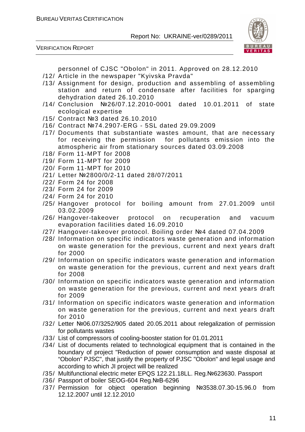VERIFICATION REPORT



personnel of CJSC "Obolon" in 2011. Approved on 28.12.2010

- /12/ Article in the newspaper "Kyivska Pravda"
- /13/ Assignment for design, production and assembling of assembling station and return of condensate after facilities for sparging dehydration dated 26.10.2010
- /14/ Conclusion №26/07.12.2010-0001 dated 10.01.2011 of state ecological expertise
- /15/ Contract №3 dated 26.10.2010
- /16/ Contract №74.2907-ERG 5SL dated 29.09.2009
- /17/ Documents that substantiate wastes amount, that are necessary for receiving the permission for pollutants emission into the atmospheric air from stationary sources dated 03.09.2008
- /18/ Form 11-MPT for 2008
- /19/ Form 11-MPT for 2009
- /20/ Form 11-MPT for 2010
- /21/ Letter №2800/0/2-11 dated 28/07/2011
- /22/ Form 24 for 2008
- /23/ Form 24 for 2009
- /24/ Form 24 for 2010
- /25/ Hangover protocol for boiling amount from 27.01.2009 until 03.02.2009
- /26/ Hangover-takeover protocol on recuperation and vacuum evaporation facilities dated 16.09.2010
- /27/ Hangover-takeover protocol. Boiling order №4 dated 07.04.2009
- /28/ Information on specific indicators waste generation and information on waste generation for the previous, current and next years draft for 2000
- /29/ Information on specific indicators waste generation and information on waste generation for the previous, current and next years draft for 2008
- /30/ Information on specific indicators waste generation and information on waste generation for the previous, current and next years draft for 2009
- /31/ Information on specific indicators waste generation and information on waste generation for the previous, current and next years draft for 2010
- /32/ Letter №06.07/3252/905 dated 20.05.2011 about relegalization of permission for pollutants wastes
- /33/ List of compressors of cooling-booster station for 01.01.2011
- /34/ List of documents related to technological equipment that is contained in the boundary of project "Reduction of power consumption and waste disposal at "Obolon" PJSC", that justify the property of PJSC "Obolon" and legal usage and according to which JI project will be realized
- /35/ Multifunctional electric meter EPQS 122.21.18LL. Reg.№623630. Passport
- /36/ Passport of boiler SEOG-604 Reg.№В-6296
- /37/ Permission for object operation beginning №3538.07.30-15.96.0 from 12.12.2007 until 12.12.2010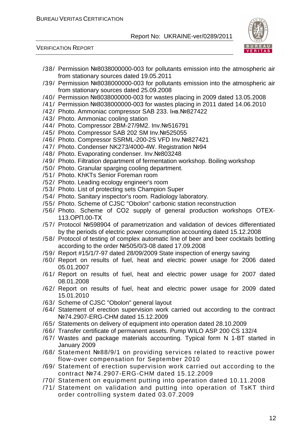VERIFICATION REPORT



- /38/ Permission №8038000000-003 for pollutants emission into the atmospheric air from stationary sources dated 19.05.2011
- /39/ Permission №8038000000-003 for pollutants emission into the atmospheric air from stationary sources dated 25.09.2008
- /40/ Permission №8038000000-003 for wastes placing in 2009 dated 13.05.2008
- /41/ Permission №8038000000-003 for wastes placing in 2011 dated 14.06.2010
- /42/ Photo. Ammoniac compressor SAB 233. Інв.№827422
- /43/ Photo. Ammoniac cooling station
- /44/ Photo. Compressor 2BM-27/9M2. Inv.№516791
- /45/ Photo. Compressor SAB 202 SM Inv.№525055
- /46/ Photo. Compressor SSRML-200-2S VFD Inv.№827421
- /47/ Photo. Condenser NK273/4000-4W. Registration №94
- /48/ Photo. Evaporating condenser. Inv.№803248
- /49/ Photo. Filtration department of fermentation workshop. Boiling workshop
- /50/ Photo. Granular sparging cooling department.
- /51/ Photo. KhKTs Senior Foreman room
- /52/ Photo. Leading ecology engineer's room
- /53/ Photo. List of protecting sets Champion Super
- /54/ Photo. Sanitary inspector's room. Radiology laboratory.
- /55/ Photo. Scheme of CJSC "Obolon" carbonic station reconstruction
- /56/ Photo. Scheme of СО2 supply of general production workshops ОТЕХ-113.ОРП.00-ТХ
- /57/ Protocol №598904 of parametrization and validation of devices differentiated by the periods of electric power consumption accounting dated 15.12.2008
- /58/ Protocol of testing of complex automatic line of beer and beer cocktails bottling according to the order №505/0/3-08 dated 17.09.2008
- /59/ Report #15/1/7-97 dated 28/09/2009 State inspection of energy saving
- /60/ Report on results of fuel, heat and electric power usage for 2006 dated 05.01.2007
- /61/ Report on results of fuel, heat and electric power usage for 2007 dated 08.01.2008
- /62/ Report on results of fuel, heat and electric power usage for 2009 dated 15.01.2010
- /63/ Scheme of CJSC "Obolon" general layout
- /64/ Statement of erection supervision work carried out according to the contract №74.2907-ERG-CHM dated 15.12.2009
- /65/ Statements on delivery of equipment into operation dated 28.10.2009
- /66/ Transfer certificate of permanent assets. Pump WILO ASP 200 CS 132/4
- /67/ Wastes and package materials accounting. Typical form N 1-BT started in January 2009
- /68/ Statement №88/9/1 on providing services related to reactive power flow-over compensation for September 2010
- /69/ Statement of erection supervision work carried out according to the contract №74.2907-ERG-CHM dated 15.12.2009
- /70/ Statement on equipment putting into operation dated 10.11.2008
- /71/ Statement on validation and putting into operation of TsKT third order controlling system dated 03.07.2009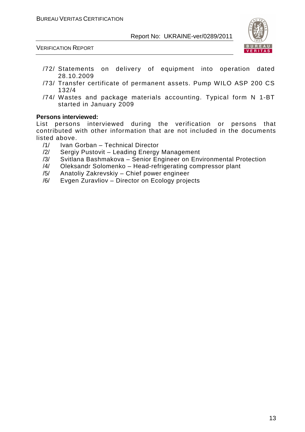

VERIFICATION REPORT

- /72/ Statements on delivery of equipment into operation dated 28.10.2009
- /73/ Transfer certificate of permanent assets. Pump WILO ASP 200 CS 132/4
- /74/ Wastes and package materials accounting. Typical form N 1-BT started in January 2009

#### **Persons interviewed:**

List persons interviewed during the verification or persons that contributed with other information that are not included in the documents listed above.

- /1/ Ivan Gorban Technical Director
- /2/ Sergiy Pustovit Leading Energy Management
- /3/ Svitlana Bashmakova Senior Engineer on Environmental Protection
- /4/ Oleksandr Solomenko Head-refrigerating compressor plant
- /5/ Anatoliy Zakrevskiy Chief power engineer
- /6/ Evgen Zuravliov Director on Ecology projects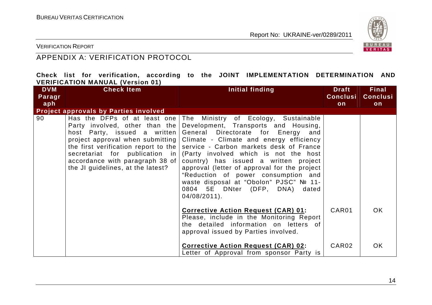

VERIFICATION REPORT

# APPENDIX A: VERIFICATION PROTOCOL

|  |                                         |  |  | Check list for verification, according to the JOINT IMPLEMENTATION DETERMINATION AND |  |
|--|-----------------------------------------|--|--|--------------------------------------------------------------------------------------|--|
|  | <b>VERIFICATION MANUAL (Version 01)</b> |  |  |                                                                                      |  |

| <b>DVM</b> | <b>Check Item</b>                                                                                                                      | Initial finding                                                                                                                                                                                                                                                                                                                                                                                                                                                                                                                                                                                                         | <b>Draft</b>      | <b>Final</b>    |
|------------|----------------------------------------------------------------------------------------------------------------------------------------|-------------------------------------------------------------------------------------------------------------------------------------------------------------------------------------------------------------------------------------------------------------------------------------------------------------------------------------------------------------------------------------------------------------------------------------------------------------------------------------------------------------------------------------------------------------------------------------------------------------------------|-------------------|-----------------|
| Paragr     |                                                                                                                                        |                                                                                                                                                                                                                                                                                                                                                                                                                                                                                                                                                                                                                         | <b>Conclusi</b>   | <b>Conclusi</b> |
| aph        |                                                                                                                                        |                                                                                                                                                                                                                                                                                                                                                                                                                                                                                                                                                                                                                         | on                | on              |
|            | <b>Project approvals by Parties involved</b>                                                                                           |                                                                                                                                                                                                                                                                                                                                                                                                                                                                                                                                                                                                                         |                   |                 |
| 90         | Party involved, other than the<br>host Party, issued a written<br>accordance with paragraph 38 of<br>the JI guidelines, at the latest? | Has the DFPs of at least one   The Ministry of Ecology, Sustainable<br>Development, Transports and Housing,<br>General Directorate for Energy and<br>project approval when submitting   Climate - Climate and energy efficiency<br>the first verification report to the   service - Carbon markets desk of France<br>secretariat for publication in (Party involved which is not the host<br>country) has issued a written project<br>approval (letter of approval for the project<br>"Reduction of power consumption and<br>waste disposal at "Obolon" PJSC" № 11-<br>0804 5E DNter (DFP, DNA) dated<br>$04/08/2011$ . |                   |                 |
|            |                                                                                                                                        | <b>Corrective Action Request (CAR) 01:</b><br>Please, include in the Monitoring Report<br>the detailed information on letters of<br>approval issued by Parties involved.                                                                                                                                                                                                                                                                                                                                                                                                                                                | CAR <sub>01</sub> | OK.             |
|            |                                                                                                                                        | <b>Corrective Action Request (CAR) 02:</b><br>etter of Approval from sponsor Party is                                                                                                                                                                                                                                                                                                                                                                                                                                                                                                                                   | CAR02             | <b>OK</b>       |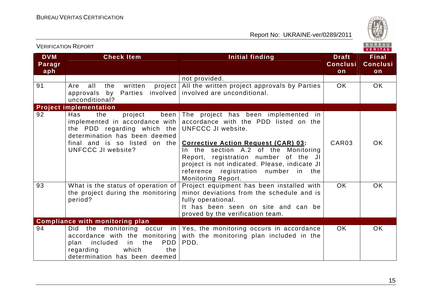

|                                 | <b>VERIFICATION REPORT</b>                                                                                                                                                                    |                                                                                                                                                                                                                                                                                                                                                         |                                       |                                       |  |
|---------------------------------|-----------------------------------------------------------------------------------------------------------------------------------------------------------------------------------------------|---------------------------------------------------------------------------------------------------------------------------------------------------------------------------------------------------------------------------------------------------------------------------------------------------------------------------------------------------------|---------------------------------------|---------------------------------------|--|
| <b>DVM</b><br>Paragr<br>$ $ aph | <b>Check Item</b>                                                                                                                                                                             | Initial finding                                                                                                                                                                                                                                                                                                                                         | <b>Draft</b><br><b>Conclusi</b><br>on | <b>Final</b><br><b>Conclusi</b><br>on |  |
|                                 |                                                                                                                                                                                               | not provided.                                                                                                                                                                                                                                                                                                                                           |                                       |                                       |  |
| 91                              | project<br>all<br>the<br>written<br>Are<br>Parties<br>involved<br>approvals by<br>unconditional?                                                                                              | All the written project approvals by Parties<br>involved are unconditional.                                                                                                                                                                                                                                                                             | <b>OK</b>                             | <b>OK</b>                             |  |
|                                 | <b>Project implementation</b>                                                                                                                                                                 |                                                                                                                                                                                                                                                                                                                                                         |                                       |                                       |  |
| 92                              | been<br>Has<br>the<br>project<br>implemented in accordance with<br>the PDD regarding which the<br>determination has been deemed<br>final and is so listed on the<br><b>UNFCCC JI website?</b> | The project has been implemented in<br>accordance with the PDD listed on the<br>UNFCCC JI website.<br><b>Corrective Action Request (CAR) 03:</b><br>In the section A.2 of the Monitoring<br>Report, registration number of the JI<br>project is not indicated. Please, indicate JI<br>reference registration number in the<br><b>Monitoring Report.</b> | CAR <sub>03</sub>                     | OK.                                   |  |
| 93                              | What is the status of operation of<br>the project during the monitoring<br>period?                                                                                                            | Project equipment has been installed with<br>minor deviations from the schedule and is<br>fully operational.<br>It has been seen on site and can be<br>proved by the verification team.                                                                                                                                                                 | <b>OK</b>                             | <b>OK</b>                             |  |
|                                 | <b>Compliance with monitoring plan</b>                                                                                                                                                        |                                                                                                                                                                                                                                                                                                                                                         |                                       |                                       |  |
| 94                              | Did<br>monitoring occur<br>the<br>in<br>accordance with the monitoring<br>the<br><b>PDD</b><br>included<br>in<br>plan<br>which<br>regarding<br>the<br>determination has been deemed           | Yes, the monitoring occurs in accordance<br>with the monitoring plan included in the<br>PDD.                                                                                                                                                                                                                                                            | OK.                                   | <b>OK</b>                             |  |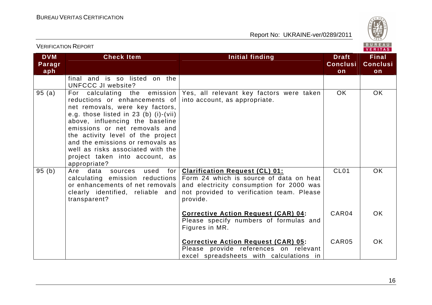

VERIFICATION REPORT

| <b>DVM</b><br>Paragr<br>aph | <b>Check Item</b>                                                                                                                                                                                                                                                                                                                                      | <b>Initial finding</b>                                                                                                                                                                                                  | <b>Draft</b><br><b>Conclusi</b><br>on | <b>Final</b><br><b>Conclusi</b><br>on |
|-----------------------------|--------------------------------------------------------------------------------------------------------------------------------------------------------------------------------------------------------------------------------------------------------------------------------------------------------------------------------------------------------|-------------------------------------------------------------------------------------------------------------------------------------------------------------------------------------------------------------------------|---------------------------------------|---------------------------------------|
|                             | final and is so listed on the<br><b>UNFCCC JI website?</b>                                                                                                                                                                                                                                                                                             |                                                                                                                                                                                                                         |                                       |                                       |
| 95(a)                       | For<br>reductions or enhancements of<br>net removals, were key factors,<br>e.g. those listed in $23$ (b) (i)-(vii)<br>above, influencing the baseline<br>emissions or net removals and<br>the activity level of the project<br>and the emissions or removals as<br>well as risks associated with the<br>project taken into account, as<br>appropriate? | calculating the emission Yes, all relevant key factors were taken<br>into account, as appropriate.                                                                                                                      | OK                                    | OK                                    |
| 95(b)                       | Are data sources<br>used<br>for I<br>or enhancements of net removals<br>clearly identified, reliable and<br>transparent?                                                                                                                                                                                                                               | <b>Clarification Request (CL) 01:</b><br>calculating emission reductions   Form 24 which is source of data on heat<br>and electricity consumption for 2000 was<br>not provided to verification team. Please<br>provide. | CL <sub>01</sub>                      | <b>OK</b>                             |
|                             |                                                                                                                                                                                                                                                                                                                                                        | <b>Corrective Action Request (CAR) 04:</b><br>Please specify numbers of formulas and<br>Figures in MR.                                                                                                                  | CAR04                                 | OK.                                   |
|                             |                                                                                                                                                                                                                                                                                                                                                        | <b>Corrective Action Request (CAR) 05:</b><br>Please provide references on relevant<br>excel spreadsheets with calculations in                                                                                          | CAR05                                 | <b>OK</b>                             |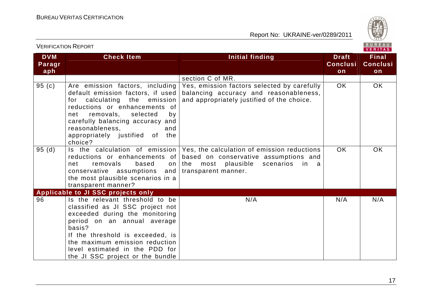

|                             |                                                                                                                                                                                                                                                                                            |                                                                                                                                                             |                                       | <b>VENIIAS</b>                        |
|-----------------------------|--------------------------------------------------------------------------------------------------------------------------------------------------------------------------------------------------------------------------------------------------------------------------------------------|-------------------------------------------------------------------------------------------------------------------------------------------------------------|---------------------------------------|---------------------------------------|
| <b>DVM</b><br>Paragr<br>aph | <b>Check Item</b>                                                                                                                                                                                                                                                                          | Initial finding                                                                                                                                             | <b>Draft</b><br><b>Conclusi</b><br>on | <b>Final</b><br><b>Conclusi</b><br>on |
|                             |                                                                                                                                                                                                                                                                                            | section C of MR.                                                                                                                                            |                                       |                                       |
| 95(c)                       | Are emission factors, including<br>default emission factors, if used<br>calculating the<br>emission<br>for<br>reductions or enhancements of<br>removals, selected<br>net<br>by<br>carefully balancing accuracy and<br>reasonableness.<br>and<br>appropriately justified of the<br>choice?  | Yes, emission factors selected by carefully<br>balancing accuracy and reasonableness,<br>and appropriately justified of the choice.                         | <b>OK</b>                             | OK                                    |
| 95(d)                       | Is the calculation of emission<br>reductions or enhancements of<br>net<br>removals<br>based<br>on<br>conservative assumptions and<br>the most plausible scenarios in a<br>transparent manner?                                                                                              | Yes, the calculation of emission reductions<br>based on conservative assumptions and<br>the most plausible scenarios<br>in in<br>a a<br>transparent manner. | <b>OK</b>                             | <b>OK</b>                             |
|                             | Applicable to JI SSC projects only                                                                                                                                                                                                                                                         |                                                                                                                                                             |                                       |                                       |
| 96                          | Is the relevant threshold to be<br>classified as JI SSC project not<br>exceeded during the monitoring<br>period on an annual average<br>basis?<br>If the threshold is exceeded, is<br>the maximum emission reduction<br>level estimated in the PDD for<br>the JI SSC project or the bundle | N/A                                                                                                                                                         | N/A                                   | N/A                                   |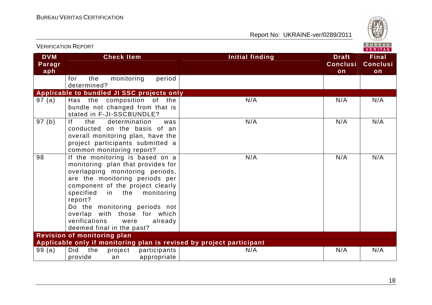

| <b>VERIFICATION REPORT</b>  |                                                                                                                                                                                                                                                                                                                                                              |                        |                                       |                                       |
|-----------------------------|--------------------------------------------------------------------------------------------------------------------------------------------------------------------------------------------------------------------------------------------------------------------------------------------------------------------------------------------------------------|------------------------|---------------------------------------|---------------------------------------|
| <b>DVM</b><br>Paragr<br>aph | <b>Check Item</b>                                                                                                                                                                                                                                                                                                                                            | <b>Initial finding</b> | <b>Draft</b><br><b>Conclusi</b><br>on | <b>Final</b><br><b>Conclusi</b><br>on |
|                             | period<br>for<br>the<br>monitoring<br>determined?                                                                                                                                                                                                                                                                                                            |                        |                                       |                                       |
|                             | Applicable to bundled JI SSC projects only                                                                                                                                                                                                                                                                                                                   |                        |                                       |                                       |
| 97 (a)                      | Has the composition of the<br>bundle not changed from that is<br>stated in F-JI-SSCBUNDLE?                                                                                                                                                                                                                                                                   | N/A                    | N/A                                   | N/A                                   |
| 97(b)                       | f <br>determination<br>the<br>was<br>conducted on the basis of an<br>overall monitoring plan, have the<br>project participants submitted a<br>common monitoring report?                                                                                                                                                                                      | N/A                    | N/A                                   | N/A                                   |
| 98                          | If the monitoring is based on a<br>monitoring plan that provides for<br>overlapping monitoring periods,<br>are the monitoring periods per<br>component of the project clearly<br>in the monitoring<br>specified<br>report?<br>Do the monitoring periods not<br>overlap with those for which<br>verifications<br>were<br>already<br>deemed final in the past? | N/A                    | N/A                                   | N/A                                   |
|                             | <b>Revision of monitoring plan</b>                                                                                                                                                                                                                                                                                                                           |                        |                                       |                                       |
|                             | Applicable only if monitoring plan is revised by project participant                                                                                                                                                                                                                                                                                         |                        |                                       |                                       |
| 99(a)                       | the<br><b>Did</b><br>project<br>participants<br>provide<br>appropriate<br>an                                                                                                                                                                                                                                                                                 | N/A                    | N/A                                   | N/A                                   |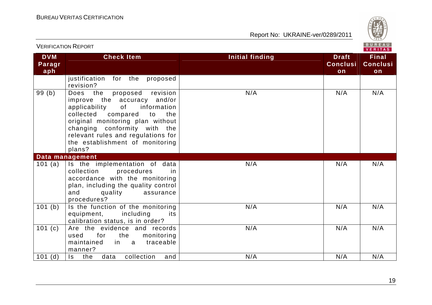

|                             |                                                                                                                                                                                                                                                                                                                |                                                          | <b>VERITAS</b>                        |
|-----------------------------|----------------------------------------------------------------------------------------------------------------------------------------------------------------------------------------------------------------------------------------------------------------------------------------------------------------|----------------------------------------------------------|---------------------------------------|
| <b>DVM</b><br>Paragr<br>aph | <b>Check Item</b>                                                                                                                                                                                                                                                                                              | Initial finding<br><b>Draft</b><br><b>Conclusi</b><br>on | <b>Final</b><br><b>Conclusi</b><br>on |
|                             | justification for the<br>proposed<br>revision?                                                                                                                                                                                                                                                                 |                                                          |                                       |
| 99(b)                       | Does the<br>proposed revision<br>improve the accuracy<br>and/or<br>applicability<br>of the control<br>information<br>collected<br>compared<br>to<br>the<br>original monitoring plan without<br>changing conformity with the<br>relevant rules and regulations for<br>the establishment of monitoring<br>plans? | N/A<br>N/A                                               | N/A                                   |
|                             | Data management                                                                                                                                                                                                                                                                                                |                                                          |                                       |
| 101 (a)                     | Is the implementation of data<br>collection<br>procedures<br>in<br>accordance with the monitoring<br>plan, including the quality control<br>and<br>quality<br>assurance<br>procedures?                                                                                                                         | N/A<br>N/A                                               | N/A                                   |
| 101(b)                      | Is the function of the monitoring<br>equipment,<br>including<br>its<br>calibration status, is in order?                                                                                                                                                                                                        | N/A<br>N/A                                               | N/A                                   |
| 101(c)                      | Are the evidence and records<br>for<br>the<br>monitoring<br>used<br>traceable<br>maintained<br>in a<br>manner?                                                                                                                                                                                                 | N/A<br>N/A                                               | N/A                                   |
| $101$ (d)                   | the<br>data<br>collection<br>Is.<br>and                                                                                                                                                                                                                                                                        | N/A<br>N/A                                               | N/A                                   |

VERIFICATION REPORT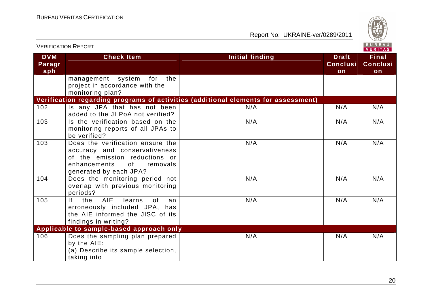

|                             | <b>VERIFICATION REPORT</b>                                                                                                                                                                                                                                                  |                                                                                    |                                       | BUREAU<br>VERITAS                     |
|-----------------------------|-----------------------------------------------------------------------------------------------------------------------------------------------------------------------------------------------------------------------------------------------------------------------------|------------------------------------------------------------------------------------|---------------------------------------|---------------------------------------|
| <b>DVM</b><br>Paragr<br>aph | <b>Check Item</b>                                                                                                                                                                                                                                                           | <b>Initial finding</b>                                                             | <b>Draft</b><br><b>Conclusi</b><br>on | <b>Final</b><br><b>Conclusi</b><br>on |
|                             | the<br>management system<br>for<br>project in accordance with the<br>monitoring plan?                                                                                                                                                                                       |                                                                                    |                                       |                                       |
|                             |                                                                                                                                                                                                                                                                             | Verification regarding programs of activities (additional elements for assessment) |                                       |                                       |
| 102                         | Is any JPA that has not been<br>added to the JI PoA not verified?                                                                                                                                                                                                           | N/A                                                                                | N/A                                   | N/A                                   |
| 103                         | Is the verification based on the<br>monitoring reports of all JPAs to<br>be verified?                                                                                                                                                                                       | N/A                                                                                | N/A                                   | N/A                                   |
| 103                         | Does the verification ensure the<br>accuracy and conservativeness<br>of the emission reductions or<br>of the contract of the contract of the contract of the contract of the contract of the contract of the contract<br>enhancements<br>removals<br>generated by each JPA? | N/A                                                                                | N/A                                   | N/A                                   |
| 104                         | Does the monitoring period not<br>overlap with previous monitoring<br>periods?                                                                                                                                                                                              | N/A                                                                                | N/A                                   | N/A                                   |
| 105                         | <b>AIE</b><br> f <br>the<br>learns<br>0f<br>an<br>erroneously included JPA, has<br>the AIE informed the JISC of its<br>findings in writing?                                                                                                                                 | N/A                                                                                | N/A                                   | N/A                                   |
|                             | Applicable to sample-based approach only                                                                                                                                                                                                                                    |                                                                                    |                                       |                                       |
| 106                         | Does the sampling plan prepared<br>by the AIE:<br>(a) Describe its sample selection,<br>taking into                                                                                                                                                                         | N/A                                                                                | N/A                                   | N/A                                   |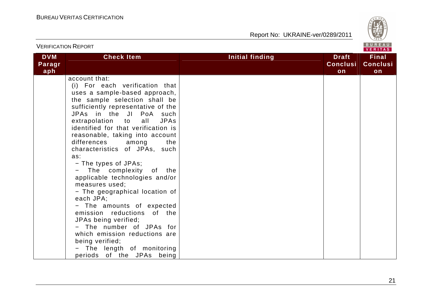

|                             | <b>VERIFICATION REPORT</b>                                                                                                                                                                                                                                                                                                                                                                                                                                                                                                                                                                                                                                                                                                                                    | BUREAU<br><b>VERITAS</b> |                                       |                                       |  |
|-----------------------------|---------------------------------------------------------------------------------------------------------------------------------------------------------------------------------------------------------------------------------------------------------------------------------------------------------------------------------------------------------------------------------------------------------------------------------------------------------------------------------------------------------------------------------------------------------------------------------------------------------------------------------------------------------------------------------------------------------------------------------------------------------------|--------------------------|---------------------------------------|---------------------------------------|--|
| <b>DVM</b><br>Paragr<br>aph | <b>Check Item</b>                                                                                                                                                                                                                                                                                                                                                                                                                                                                                                                                                                                                                                                                                                                                             | Initial finding          | <b>Draft</b><br><b>Conclusi</b><br>on | <b>Final</b><br><b>Conclusi</b><br>on |  |
|                             | account that:<br>(i) For each verification that<br>uses a sample-based approach,<br>the sample selection shall be<br>sufficiently representative of the<br>JPAs in the JI PoA such<br>extrapolation to<br>all<br><b>JPAs</b><br>identified for that verification is<br>reasonable, taking into account<br>differences<br>among<br>the<br>characteristics of JPAs, such<br>as:<br>- The types of JPAs;<br>The complexity of the<br>applicable technologies and/or<br>measures used;<br>- The geographical location of<br>each JPA;<br>- The amounts of expected<br>emission reductions of the<br>JPAs being verified;<br>- The number of JPAs for<br>which emission reductions are<br>being verified;<br>The length of monitoring<br>periods of the JPAs being |                          |                                       |                                       |  |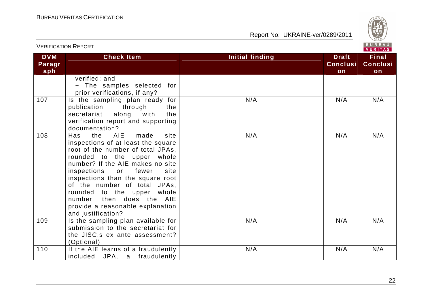

|                             | <b>VERIFICATION REPORT</b>                                                                                                                                                                                                                                                                                                                                                                                                     |                 | BUREAU<br><b>VERITAS</b>              |                                       |
|-----------------------------|--------------------------------------------------------------------------------------------------------------------------------------------------------------------------------------------------------------------------------------------------------------------------------------------------------------------------------------------------------------------------------------------------------------------------------|-----------------|---------------------------------------|---------------------------------------|
| <b>DVM</b><br>Paragr<br>aph | <b>Check Item</b>                                                                                                                                                                                                                                                                                                                                                                                                              | Initial finding | <b>Draft</b><br><b>Conclusi</b><br>on | <b>Final</b><br><b>Conclusi</b><br>on |
|                             | verified; and<br>- The samples selected for<br>prior verifications, if any?                                                                                                                                                                                                                                                                                                                                                    |                 |                                       |                                       |
| 107                         | Is the sampling plan ready for<br>through<br>publication<br>the<br>along<br>with<br>the<br>secretariat<br>verification report and supporting<br>documentation?                                                                                                                                                                                                                                                                 | N/A             | N/A                                   | N/A                                   |
| 108                         | the<br><b>AIE</b><br>made<br><b>Has</b><br>site<br>inspections of at least the square<br>root of the number of total JPAs,<br>rounded to the upper whole<br>number? If the AIE makes no site<br>inspections<br>fewer<br>or<br>site<br>inspections than the square root<br>of the number of total JPAs,<br>rounded to the upper whole<br>number, then does the<br>AIE<br>provide a reasonable explanation<br>and justification? | N/A             | N/A                                   | N/A                                   |
| 109                         | Is the sampling plan available for<br>submission to the secretariat for<br>the JISC.s ex ante assessment?<br>(Optional)                                                                                                                                                                                                                                                                                                        | N/A             | N/A                                   | N/A                                   |
| 110                         | If the AIE learns of a fraudulently<br>included JPA, a fraudulently                                                                                                                                                                                                                                                                                                                                                            | N/A             | N/A                                   | N/A                                   |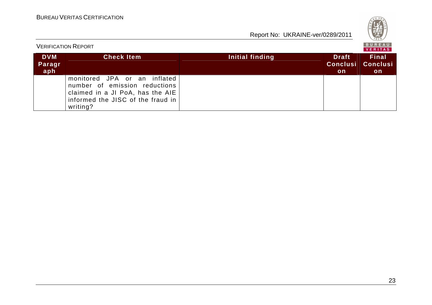| S<br>Q<br>۰.<br>828 |
|---------------------|
|---------------------|

|                             | <b>VERIFICATION REPORT</b>                                                                                                                         |                 | BUREAU<br>VERITAS                            |                                       |  |
|-----------------------------|----------------------------------------------------------------------------------------------------------------------------------------------------|-----------------|----------------------------------------------|---------------------------------------|--|
| <b>DVM</b><br>Paragr<br>aph | <b>Check Item</b>                                                                                                                                  | Initial finding | <b>Draft</b><br><b>Conclusi</b><br><b>on</b> | <b>Final</b><br><b>Conclusi</b><br>on |  |
|                             | monitored JPA or an inflated<br>number of emission reductions<br>claimed in a JI PoA, has the AIE<br>informed the JISC of the fraud in<br>writing? |                 |                                              |                                       |  |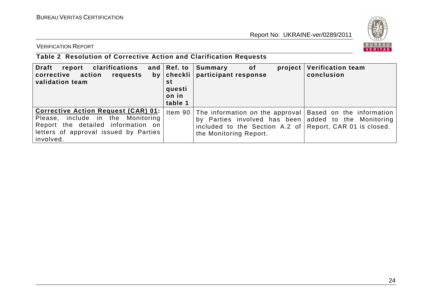

VERIFICATION REPORT

# **Table 2 Resolution of Corrective Action and Clarification Requests**

| <b>Draft</b><br>clarifications<br>report<br>corrective action<br>requests<br>validation team                                                                                | and $ Ref.$ to<br>st<br>questi<br>on in<br>table 1 | Summary<br>project<br>of<br>by   checkli   participant response                                                                                                                                                | <b>Verification team</b><br>conclusion |
|-----------------------------------------------------------------------------------------------------------------------------------------------------------------------------|----------------------------------------------------|----------------------------------------------------------------------------------------------------------------------------------------------------------------------------------------------------------------|----------------------------------------|
| <b>Corrective Action Request (CAR) 01:</b><br>Please, include in the Monitoring<br>Report the detailed information on<br>letters of approval issued by Parties<br>involved. |                                                    | Item 90 The information on the approval Based on the information<br>by Parties involved has been added to the Monitoring<br>included to the Section A.2 of Report, CAR 01 is closed.<br>the Monitoring Report. |                                        |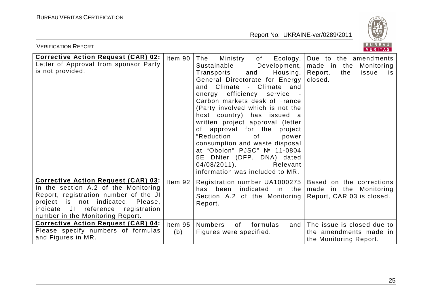

| <b>VERIFICATION REPORT</b>                                                                                                                                                                                                                                                                                                                          |                               |                                                                                                                                                                                                                                                                                                                                                                                                                                                                                                                                                                    | BUREAU<br><b>VERITAS</b>                                                                                 |
|-----------------------------------------------------------------------------------------------------------------------------------------------------------------------------------------------------------------------------------------------------------------------------------------------------------------------------------------------------|-------------------------------|--------------------------------------------------------------------------------------------------------------------------------------------------------------------------------------------------------------------------------------------------------------------------------------------------------------------------------------------------------------------------------------------------------------------------------------------------------------------------------------------------------------------------------------------------------------------|----------------------------------------------------------------------------------------------------------|
| <b>Corrective Action Request (CAR) 02:</b><br>Letter of Approval from sponsor Party<br>is not provided.                                                                                                                                                                                                                                             | Item 90                       | The<br>Ecology,<br>Ministry<br>of<br>Sustainable<br>Development,<br>Housing,<br>and<br>Transports<br>General Directorate for Energy<br>and Climate - Climate and<br>efficiency service<br>energy<br>Carbon markets desk of France<br>(Party involved which is not the<br>host country) has issued a<br>written project approval (letter<br>of approval for the project<br>"Reduction<br>0f<br>power<br>consumption and waste disposal<br>at "Obolon" PJSC" № 11-0804<br>5E DNter (DFP, DNA) dated<br>$04/08/2011$ .<br>Relevant<br>information was included to MR. | Due to the amendments<br>made in the<br>Monitoring<br>Report,<br>the<br>issue<br><b>IS</b><br>closed.    |
| Corrective Action Request (CAR) 03:<br>In the section A.2 of the Monitoring<br>Report, registration number of the JI<br>project is not indicated. Please,<br>indicate JI<br>reference<br>registration<br>number in the Monitoring Report.<br><b>Corrective Action Request (CAR) 04:</b><br>Please specify numbers of formulas<br>and Figures in MR. | Item $92$<br>Item $95$<br>(b) | Registration number UA1000275   Based on the corrections<br>has been indicated in the<br>Section A.2 of the Monitoring Report, CAR 03 is closed.<br>Report.<br><b>Numbers</b><br>0f<br>formulas<br>and<br>Figures were specified.                                                                                                                                                                                                                                                                                                                                  | made in the Monitoring<br>The issue is closed due to<br>the amendments made in<br>the Monitoring Report. |